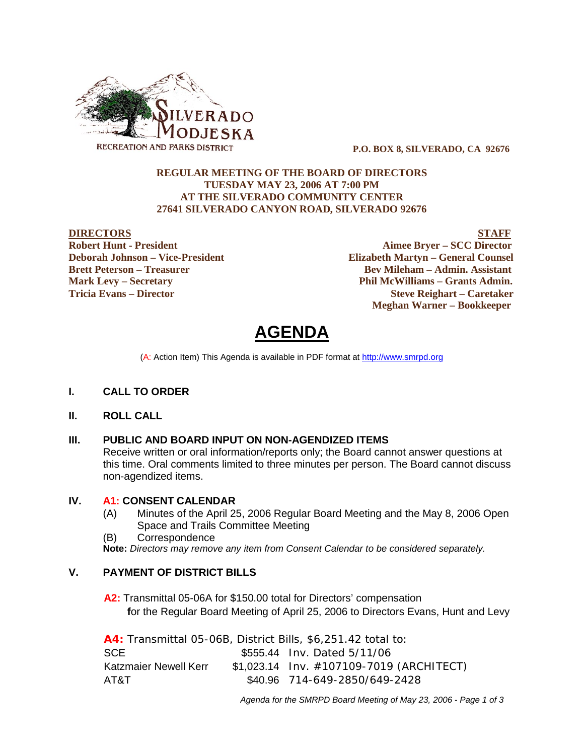

 **P.O. BOX 8, SILVERADO, CA 92676**

#### **REGULAR MEETING OF THE BOARD OF DIRECTORS TUESDAY MAY 23, 2006 AT 7:00 PM AT THE SILVERADO COMMUNITY CENTER 27641 SILVERADO CANYON ROAD, SILVERADO 92676**

**DIRECTORS STAFF Robert Hunt - President Aimee Bryer – SCC Director Deborah Johnson – Vice-President Elizabeth Martyn – General Counsel Brett Peterson – Treasurer Serverson – Bev Mileham – Admin. Assistant Mark Levy – Secretary Phil McWilliams – Grants Admin. Tricia Evans – Director Steve Reighart – Caretaker Meghan Warner – Bookkeeper**

# **AGENDA**

(A: Action Item) This Agenda is available in PDF format at http://www.smrpd.org

#### **I. CALL TO ORDER**

#### **II. ROLL CALL**

#### **III. PUBLIC AND BOARD INPUT ON NON-AGENDIZED ITEMS**

Receive written or oral information/reports only; the Board cannot answer questions at this time. Oral comments limited to three minutes per person. The Board cannot discuss non-agendized items.

#### **IV. A1:CONSENT CALENDAR**

- (A) Minutes of the April 25, 2006 Regular Board Meeting and the May 8, 2006 Open Space and Trails Committee Meeting
- (B) Correspondence

**Note:** *Directors may remove any item from Consent Calendar to be considered separately.*

### **V. PAYMENT OF DISTRICT BILLS**

**A2:**Transmittal 05-06A for \$150.00 total for Directors' compensation  **f**or the Regular Board Meeting of April 25, 2006 to Directors Evans, Hunt and Levy

| A4: Transmittal 05-06B, District Bills, \$6,251.42 total to: |  |                                             |  |  |
|--------------------------------------------------------------|--|---------------------------------------------|--|--|
| SCE.                                                         |  | \$555.44 Inv. Dated 5/11/06                 |  |  |
| Katzmaier Newell Kerr                                        |  | $$1,023.14$ lnv. $#107109-7019$ (ARCHITECT) |  |  |
| AT&T                                                         |  | \$40.96 714-649-2850/649-2428               |  |  |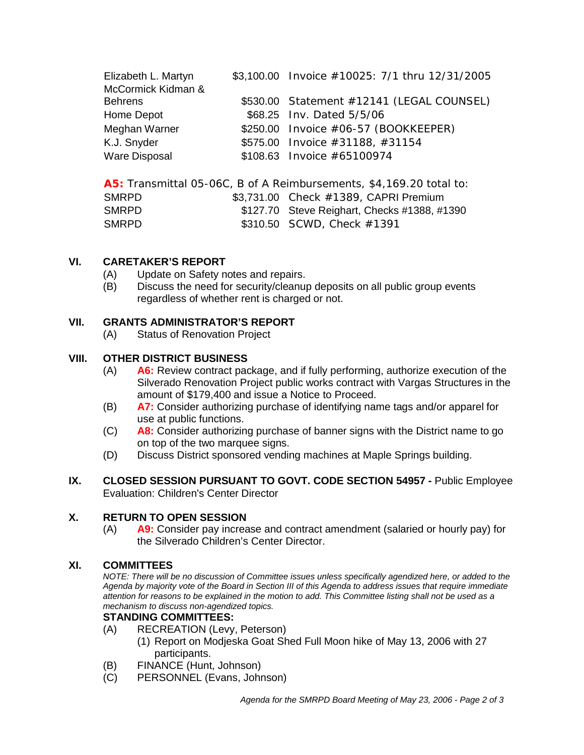| Elizabeth L. Martyn<br>McCormick Kidman & | \$3,100.00 Invoice $\#10025: 7/1$ thru 12/31/2005 |
|-------------------------------------------|---------------------------------------------------|
| <b>Behrens</b>                            | $$530.00$ Statement $#12141$ (LEGAL COUNSEL)      |
| Home Depot                                | \$68.25 Inv. Dated 5/5/06                         |
| Meghan Warner                             | $$250.00$ Invoice $#06-57$ (BOOKKEEPER)           |
| K.J. Snyder                               | \$575.00 Invoice $\#31188, \#31154$               |
| <b>Ware Disposal</b>                      | \$108.63 Invoice #65100974                        |

|              | A5: Transmittal 05-06C, B of A Reimbursements, \$4,169.20 total to: |
|--------------|---------------------------------------------------------------------|
| <b>SMRPD</b> | $$3,731.00$ Check $#1389$ , CAPRI Premium                           |
| <b>SMRPD</b> | \$127.70 Steve Reighart, Checks #1388, #1390                        |
| <b>SMRPD</b> | \$310.50 SCWD, Check $\#1391$                                       |

# **VI. CARETAKER'S REPORT**

- (A) Update on Safety notes and repairs.
- (B) Discuss the need for security/cleanup deposits on all public group events regardless of whether rent is charged or not.

# **VII. GRANTS ADMINISTRATOR'S REPORT**

(A) Status of Renovation Project

# **VIII. OTHER DISTRICT BUSINESS**

- (A) **A6:** Review contract package, and if fully performing, authorize execution of the Silverado Renovation Project public works contract with Vargas Structures in the amount of \$179,400 and issue a Notice to Proceed.
- (B) **A7:** Consider authorizing purchase of identifying name tags and/or apparel for use at public functions.
- (C) **A8:** Consider authorizing purchase of banner signs with the District name to go on top of the two marquee signs.
- (D) Discuss District sponsored vending machines at Maple Springs building.
- **IX. CLOSED SESSION PURSUANT TO GOVT. CODE SECTION 54957 -** Public Employee Evaluation: Children's Center Director

# **X. RETURN TO OPEN SESSION**

(A) **A9:** Consider pay increase and contract amendment (salaried or hourly pay) for the Silverado Children's Center Director.

# **XI. COMMITTEES**

*NOTE: There will be no discussion of Committee issues unless specifically agendized here, or added to the Agenda by majority vote of the Board in Section III of this Agenda to address issues that require immediate attention for reasons to be explained in the motion to add. This Committee listing shall not be used as a mechanism to discuss non-agendized topics.*

# **STANDING COMMITTEES:**

- (A) RECREATION (Levy, Peterson)
	- (1) Report on Modjeska Goat Shed Full Moon hike of May 13, 2006 with 27 participants.
- (B) FINANCE (Hunt, Johnson)
- (C) PERSONNEL (Evans, Johnson)